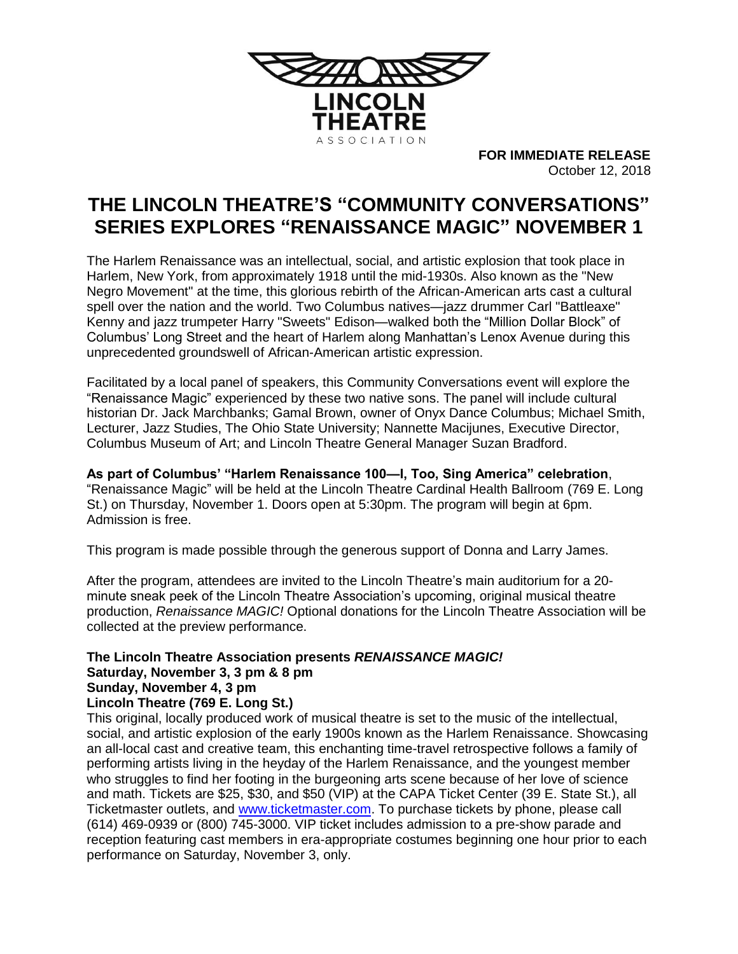

**FOR IMMEDIATE RELEASE** October 12, 2018

# **THE LINCOLN THEATRE'S "COMMUNITY CONVERSATIONS" SERIES EXPLORES "RENAISSANCE MAGIC" NOVEMBER 1**

The Harlem Renaissance was an intellectual, social, and artistic explosion that took place in Harlem, New York, from approximately 1918 until the mid-1930s. Also known as the "New Negro Movement" at the time, this glorious rebirth of the African-American arts cast a cultural spell over the nation and the world. Two Columbus natives—jazz drummer Carl "Battleaxe" Kenny and jazz trumpeter Harry "Sweets" Edison—walked both the "Million Dollar Block" of Columbus' Long Street and the heart of Harlem along Manhattan's Lenox Avenue during this unprecedented groundswell of African-American artistic expression.

Facilitated by a local panel of speakers, this Community Conversations event will explore the "Renaissance Magic" experienced by these two native sons. The panel will include cultural historian Dr. Jack Marchbanks; Gamal Brown, owner of Onyx Dance Columbus; Michael Smith, Lecturer, Jazz Studies, The Ohio State University; Nannette Macijunes, Executive Director, Columbus Museum of Art; and Lincoln Theatre General Manager Suzan Bradford.

**As part of Columbus' "Harlem Renaissance 100—I, Too, Sing America" celebration**, "Renaissance Magic" will be held at the Lincoln Theatre Cardinal Health Ballroom (769 E. Long St.) on Thursday, November 1. Doors open at 5:30pm. The program will begin at 6pm. Admission is free.

This program is made possible through the generous support of Donna and Larry James.

After the program, attendees are invited to the Lincoln Theatre's main auditorium for a 20 minute sneak peek of the Lincoln Theatre Association's upcoming, original musical theatre production, *Renaissance MAGIC!* Optional donations for the Lincoln Theatre Association will be collected at the preview performance.

## **The Lincoln Theatre Association presents** *RENAISSANCE MAGIC!* **Saturday, November 3, 3 pm & 8 pm**

## **Sunday, November 4, 3 pm**

## **Lincoln Theatre (769 E. Long St.)**

This original, locally produced work of musical theatre is set to the music of the intellectual, social, and artistic explosion of the early 1900s known as the Harlem Renaissance. Showcasing an all-local cast and creative team, this enchanting time-travel retrospective follows a family of performing artists living in the heyday of the Harlem Renaissance, and the youngest member who struggles to find her footing in the burgeoning arts scene because of her love of science and math. Tickets are \$25, \$30, and \$50 (VIP) at the CAPA Ticket Center (39 E. State St.), all Ticketmaster outlets, and [www.ticketmaster.com.](http://www.ticketmaster.com/) To purchase tickets by phone, please call (614) 469-0939 or (800) 745-3000. VIP ticket includes admission to a pre-show parade and reception featuring cast members in era-appropriate costumes beginning one hour prior to each performance on Saturday, November 3, only.